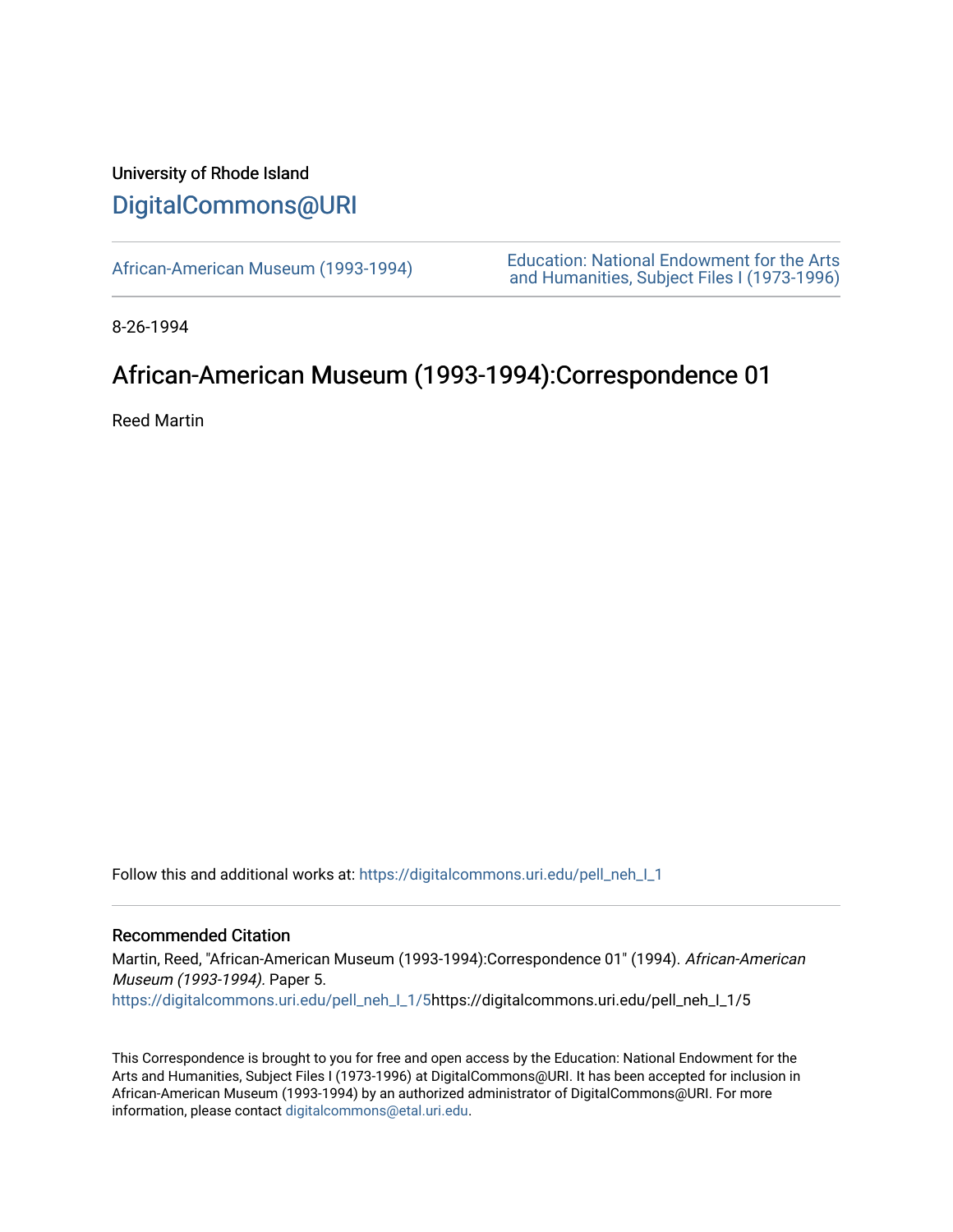## University of Rhode Island [DigitalCommons@URI](https://digitalcommons.uri.edu/)

[African-American Museum \(1993-1994\)](https://digitalcommons.uri.edu/pell_neh_I_1) [Education: National Endowment for the Arts](https://digitalcommons.uri.edu/pell_neh_I)  [and Humanities, Subject Files I \(1973-1996\)](https://digitalcommons.uri.edu/pell_neh_I) 

8-26-1994

## African-American Museum (1993-1994):Correspondence 01

Reed Martin

Follow this and additional works at: [https://digitalcommons.uri.edu/pell\\_neh\\_I\\_1](https://digitalcommons.uri.edu/pell_neh_I_1?utm_source=digitalcommons.uri.edu%2Fpell_neh_I_1%2F5&utm_medium=PDF&utm_campaign=PDFCoverPages)

## Recommended Citation

Martin, Reed, "African-American Museum (1993-1994):Correspondence 01" (1994). African-American Museum (1993-1994). Paper 5. [https://digitalcommons.uri.edu/pell\\_neh\\_I\\_1/5](https://digitalcommons.uri.edu/pell_neh_I_1/5?utm_source=digitalcommons.uri.edu%2Fpell_neh_I_1%2F5&utm_medium=PDF&utm_campaign=PDFCoverPages)https://digitalcommons.uri.edu/pell\_neh\_I\_1/5

This Correspondence is brought to you for free and open access by the Education: National Endowment for the Arts and Humanities, Subject Files I (1973-1996) at DigitalCommons@URI. It has been accepted for inclusion in African-American Museum (1993-1994) by an authorized administrator of DigitalCommons@URI. For more information, please contact [digitalcommons@etal.uri.edu.](mailto:digitalcommons@etal.uri.edu)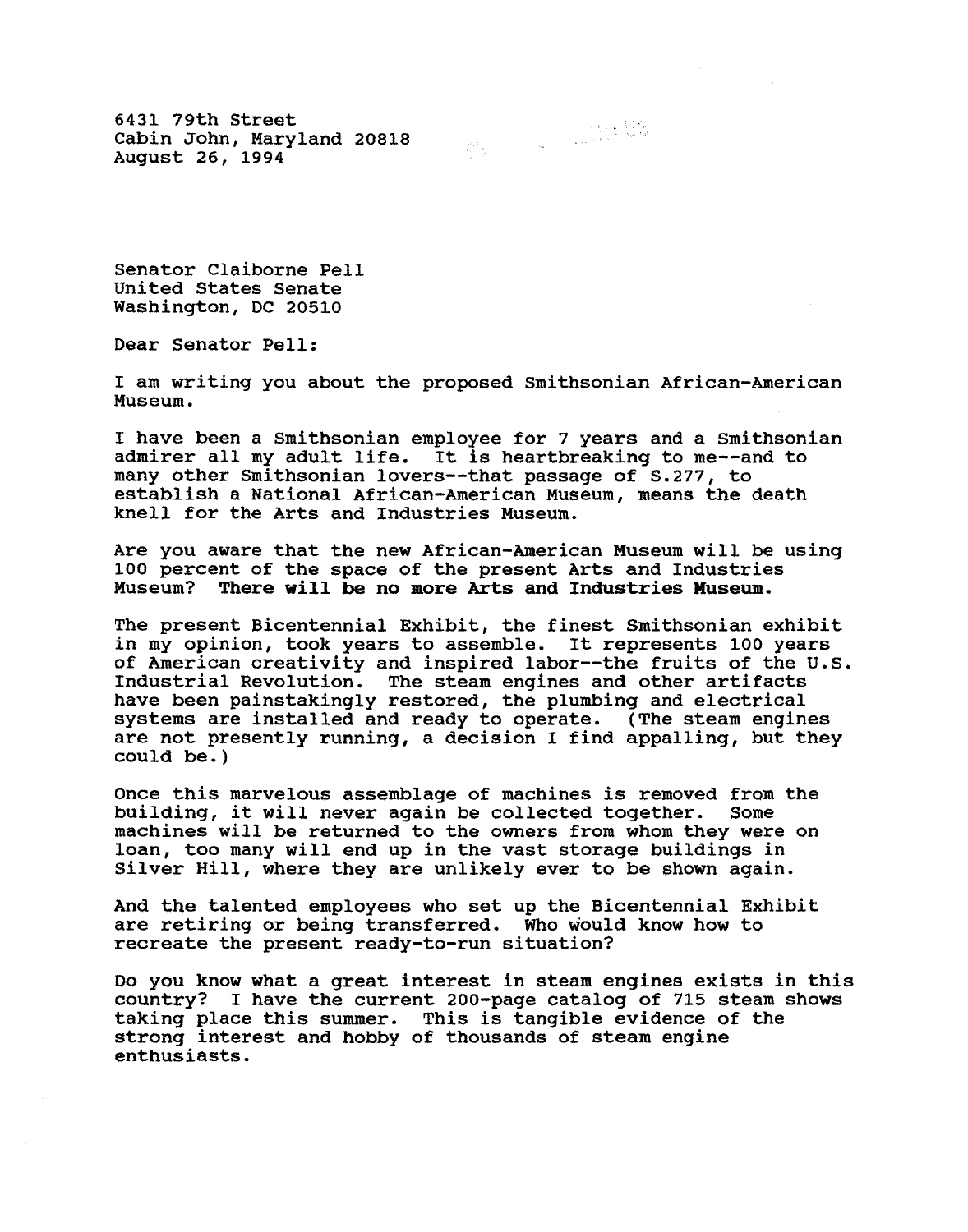6431 79th Street Cabin John, Maryland 20818 August 26, 1994

Senator Claiborne Pell United States Senate Washington, DC 20510

Dear Senator Pell:

I am writing you about the proposed Smithsonian African-American Museum.

I have been a Smithsonian employee for 7 years and a Smithsonian admirer all my adult life. It is heartbreaking to me--and to many other Smithsonian lovers--that passage of S.277, to establish a National African-American Museum, means the death knell for the Arts and Industries Museum.

Are you aware that the new African-American Museum will be using 100 percent of the space of the present Arts and Industries<br>Museum? There will be no more Arts and Industries Museum. There will be no more Arts and Industries Museum.

The present Bicentennial Exhibit, the finest Smithsonian exhibit in my opinion, took years to assemble. It represents 100 years of American creativity and inspired labor--the fruits of the U.S. Industrial Revolution. The steam engines and other artifacts have been painstakingly restored, the plumbing and electrical systems are installed and ready to operate. (The steam engines are not presently running, a decision I find appalling, but they could be.)

Once this marvelous assemblage of machines is removed from the building, it will never again be collected together. Some machines will be returned to the owners from whom they were on loan, too many will end up in the vast storage buildings in Silver Hill, where they are unlikely ever to be shown again.

And the talented employees who set up the Bicentennial Exhibit are retiring or being transferred. Who would know how to recreate the present ready-to-run situation?

Do you know what a great interest in steam engines exists in this country? I have the current 200-page catalog of 715 steam shows taking place this summer. This is tangible evidence of the strong interest and hobby of thousands of steam engine enthusiasts.